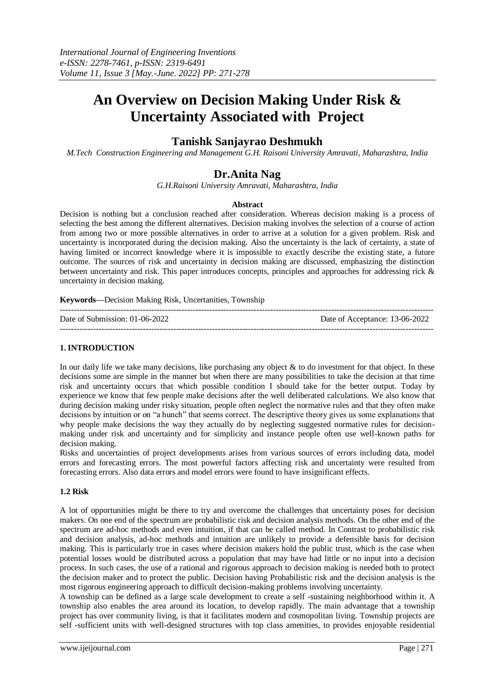# **An Overview on Decision Making Under Risk & Uncertainty Associated with Project**

# **Tanishk Sanjayrao Deshmukh**

*M.Tech Construction Engineering and Management G.H. Raisoni University Amravati, Maharashtra, India*

# **Dr.Anita Nag**

*G.H.Raisoni University Amravati, Maharashtra, India*

## **Abstract**

Decision is nothing but a conclusion reached after consideration. Whereas decision making is a process of selecting the best among the different alternatives. Decision making involves the selection of a course of action from among two or more possible alternatives in order to arrive at a solution for a given problem. Risk and uncertainty is incorporated during the decision making. Also the uncertainty is the lack of certainty, a state of having limited or incorrect knowledge where it is impossible to exactly describe the existing state, a future outcome. The sources of risk and uncertainty in decision making are discussed, emphasizing the distinction between uncertainty and risk. This paper introduces concepts, principles and approaches for addressing rick & uncertainty in decision making.

**Keywords—**Decision Making Risk, Uncertanities, Township

| Date of Submission: 01-06-2022 | Date of Acceptance: 13-06-2022 |
|--------------------------------|--------------------------------|
|                                |                                |

## **1. INTRODUCTION**

In our daily life we take many decisions, like purchasing any object  $\&$  to do investment for that object. In these decisions some are simple in the manner but when there are many possibilities to take the decision at that time risk and uncertainty occurs that which possible condition I should take for the better output. Today by experience we know that few people make decisions after the well deliberated calculations. We also know that during decision making under risky situation, people often neglect the normative rules and that they often make decisions by intuition or on "a hunch" that seems correct. The descriptive theory gives us some explanations that why people make decisions the way they actually do by neglecting suggested normative rules for decisionmaking under risk and uncertainty and for simplicity and instance people often use well-known paths for decision making.

Risks and uncertainties of project developments arises from various sources of errors including data, model errors and forecasting errors. The most powerful factors affecting risk and uncertainty were resulted from forecasting errors. Also data errors and model errors were found to have insignificant effects.

## **1.2 Risk**

A lot of opportunities might be there to try and overcome the challenges that uncertainty poses for decision makers. On one end of the spectrum are probabilistic risk and decision analysis methods. On the other end of the spectrum are ad-hoc methods and even intuition, if that can be called method. In Contrast to probabilistic risk and decision analysis, ad-hoc methods and intuition are unlikely to provide a defensible basis for decision making. This is particularly true in cases where decision makers hold the public trust, which is the case when potential losses would be distributed across a population that may have had little or no input into a decision process. In such cases, the use of a rational and rigorous approach to decision making is needed both to protect the decision maker and to protect the public. Decision having Probabilistic risk and the decision analysis is the most rigorous engineering approach to difficult decision-making problems involving uncertainty.

A township can be defined as a large scale development to create a self -sustaining neighborhood within it. A township also enables the area around its location, to develop rapidly. The main advantage that a township project has over community living, is that it facilitates modern and cosmopolitan living. Township projects are self -sufficient units with well-designed structures with top class amenities, to provides enjoyable residential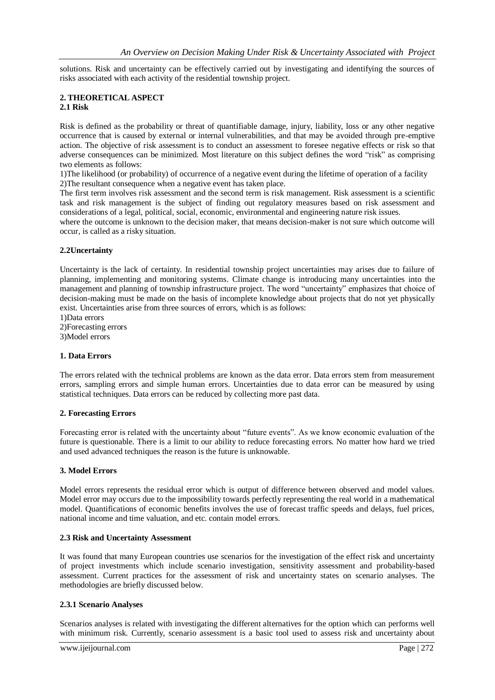solutions. Risk and uncertainty can be effectively carried out by investigating and identifying the sources of risks associated with each activity of the residential township project.

## **2. THEORETICAL ASPECT 2.1 Risk**

Risk is defined as the probability or threat of quantifiable damage, injury, liability, loss or any other negative occurrence that is caused by external or internal vulnerabilities, and that may be avoided through pre-emptive action. The objective of risk assessment is to conduct an assessment to foresee negative effects or risk so that adverse consequences can be minimized. Most literature on this subject defines the word "risk" as comprising two elements as follows:

1)The likelihood (or probability) of occurrence of a negative event during the lifetime of operation of a facility 2)The resultant consequence when a negative event has taken place.

The first term involves risk assessment and the second term is risk management. Risk assessment is a scientific task and risk management is the subject of finding out regulatory measures based on risk assessment and considerations of a legal, political, social, economic, environmental and engineering nature risk issues.

where the outcome is unknown to the decision maker, that means decision-maker is not sure which outcome will occur, is called as a risky situation.

## **2.2Uncertainty**

Uncertainty is the lack of certainty. In residential township project uncertainties may arises due to failure of planning, implementing and monitoring systems. Climate change is introducing many uncertainties into the management and planning of township infrastructure project. The word "uncertainty" emphasizes that choice of decision-making must be made on the basis of incomplete knowledge about projects that do not yet physically exist. Uncertainties arise from three sources of errors, which is as follows:

1)Data errors

2)Forecasting errors

3)Model errors

## **1. Data Errors**

The errors related with the technical problems are known as the data error. Data errors stem from measurement errors, sampling errors and simple human errors. Uncertainties due to data error can be measured by using statistical techniques. Data errors can be reduced by collecting more past data.

## **2. Forecasting Errors**

Forecasting error is related with the uncertainty about "future events". As we know economic evaluation of the future is questionable. There is a limit to our ability to reduce forecasting errors. No matter how hard we tried and used advanced techniques the reason is the future is unknowable.

## **3. Model Errors**

Model errors represents the residual error which is output of difference between observed and model values. Model error may occurs due to the impossibility towards perfectly representing the real world in a mathematical model. Quantifications of economic benefits involves the use of forecast traffic speeds and delays, fuel prices, national income and time valuation, and etc. contain model errors.

## **2.3 Risk and Uncertainty Assessment**

It was found that many European countries use scenarios for the investigation of the effect risk and uncertainty of project investments which include scenario investigation, sensitivity assessment and probability-based assessment. Current practices for the assessment of risk and uncertainty states on scenario analyses. The methodologies are briefly discussed below.

## **2.3.1 Scenario Analyses**

Scenarios analyses is related with investigating the different alternatives for the option which can performs well with minimum risk. Currently, scenario assessment is a basic tool used to assess risk and uncertainty about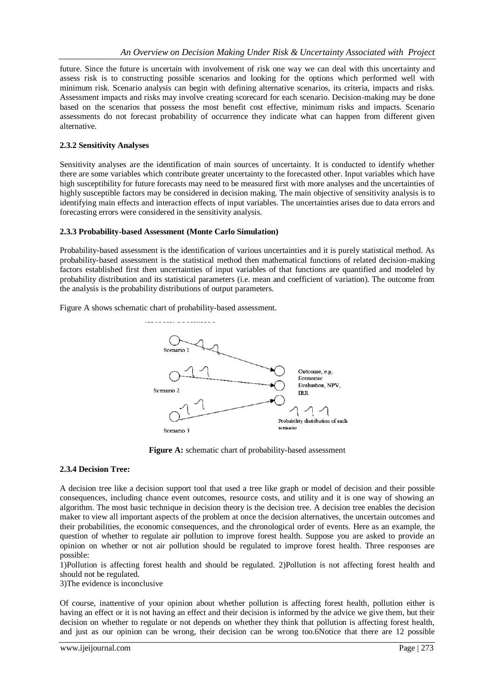future. Since the future is uncertain with involvement of risk one way we can deal with this uncertainty and assess risk is to constructing possible scenarios and looking for the options which performed well with minimum risk. Scenario analysis can begin with defining alternative scenarios, its criteria, impacts and risks. Assessment impacts and risks may involve creating scorecard for each scenario. Decision-making may be done based on the scenarios that possess the most benefit cost effective, minimum risks and impacts. Scenario assessments do not forecast probability of occurrence they indicate what can happen from different given alternative.

## **2.3.2 Sensitivity Analyses**

Sensitivity analyses are the identification of main sources of uncertainty. It is conducted to identify whether there are some variables which contribute greater uncertainty to the forecasted other. Input variables which have high susceptibility for future forecasts may need to be measured first with more analyses and the uncertainties of highly susceptible factors may be considered in decision making. The main objective of sensitivity analysis is to identifying main effects and interaction effects of input variables. The uncertainties arises due to data errors and forecasting errors were considered in the sensitivity analysis.

## **2.3.3 Probability-based Assessment (Monte Carlo Simulation)**

Probability-based assessment is the identification of various uncertainties and it is purely statistical method. As probability-based assessment is the statistical method then mathematical functions of related decision-making factors established first then uncertainties of input variables of that functions are quantified and modeled by probability distribution and its statistical parameters (i.e. mean and coefficient of variation). The outcome from the analysis is the probability distributions of output parameters.

Figure A shows schematic chart of probability-based assessment.



**Figure A:** schematic chart of probability-based assessment

## **2.3.4 Decision Tree:**

A decision tree like a decision support tool that used a tree like graph or model of decision and their possible consequences, including chance event outcomes, resource costs, and utility and it is one way of showing an algorithm. The most basic technique in decision theory is the decision tree. A decision tree enables the decision maker to view all important aspects of the problem at once the decision alternatives, the uncertain outcomes and their probabilities, the economic consequences, and the chronological order of events. Here as an example, the question of whether to regulate air pollution to improve forest health. Suppose you are asked to provide an opinion on whether or not air pollution should be regulated to improve forest health. Three responses are possible:

1)Pollution is affecting forest health and should be regulated. 2)Pollution is not affecting forest health and should not be regulated.

3)The evidence is inconclusive

Of course, inattentive of your opinion about whether pollution is affecting forest health, pollution either is having an effect or it is not having an effect and their decision is informed by the advice we give them, but their decision on whether to regulate or not depends on whether they think that pollution is affecting forest health, and just as our opinion can be wrong, their decision can be wrong too.6Notice that there are 12 possible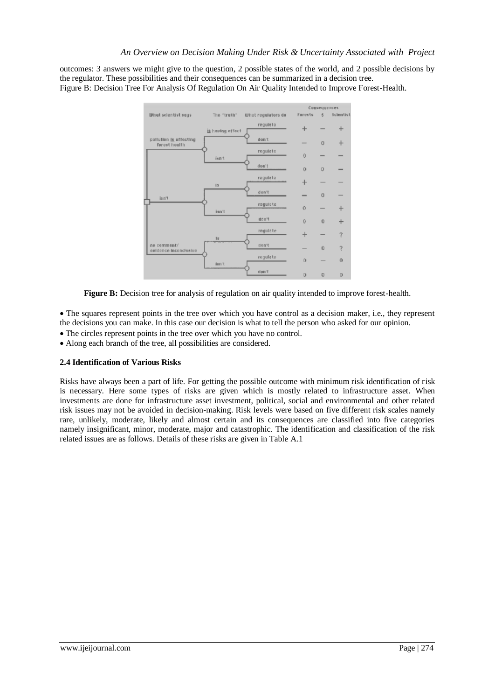outcomes: 3 answers we might give to the question, 2 possible states of the world, and 2 possible decisions by the regulator. These possibilities and their consequences can be summarized in a decision tree. Figure B: Decision Tree For Analysis Of Regulation On Air Quality Intended to Improve Forest-Health.



**Figure B:** Decision tree for analysis of regulation on air quality intended to improve forest-health.

 The squares represent points in the tree over which you have control as a decision maker, i.e., they represent the decisions you can make. In this case our decision is what to tell the person who asked for our opinion.

- The circles represent points in the tree over which you have no control.
- Along each branch of the tree, all possibilities are considered.

## **2.4 Identification of Various Risks**

Risks have always been a part of life. For getting the possible outcome with minimum risk identification of risk is necessary. Here some types of risks are given which is mostly related to infrastructure asset. When investments are done for infrastructure asset investment, political, social and environmental and other related risk issues may not be avoided in decision-making. Risk levels were based on five different risk scales namely rare, unlikely, moderate, likely and almost certain and its consequences are classified into five categories namely insignificant, minor, moderate, major and catastrophic. The identification and classification of the risk related issues are as follows. Details of these risks are given in Table A.1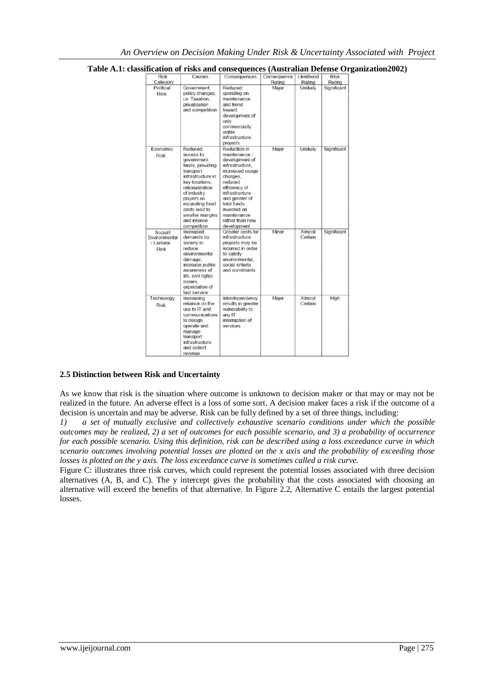| <b>Risk</b>                                            | Causes                                                                                                                                                                                                                                           | Consequences                                                                                                                                                                                                                                     | Consequence | Likelihood        | <b>Risk</b> |
|--------------------------------------------------------|--------------------------------------------------------------------------------------------------------------------------------------------------------------------------------------------------------------------------------------------------|--------------------------------------------------------------------------------------------------------------------------------------------------------------------------------------------------------------------------------------------------|-------------|-------------------|-------------|
| Category                                               |                                                                                                                                                                                                                                                  |                                                                                                                                                                                                                                                  | Rating      | Rating            | Rating      |
| Political<br><b>Risk</b>                               | Government<br>policy changes.<br>i.e. Taxation,<br>privatisation<br>and competition                                                                                                                                                              | Reduced<br>spending on<br>maintenance<br>and trend<br>toward<br>development of<br>only<br>commercially<br>viable<br>infrastructure<br>projects                                                                                                   | Major       | Unlikely          | Significant |
| <b>Economic</b><br><b>Risk</b>                         | Reduced<br>access to<br>government<br>funds, providing<br>transport<br>infrastructure in<br>key locations.<br>rationalization<br>of industry<br>players as<br>escalating fixed<br>costs lead to<br>smaller margins<br>and intense<br>competition | Reduction in<br>maintenance /<br>development of<br>infrastructure,<br>increased usage<br>charges.<br>reduced<br>efficiency of<br>infrastructure<br>and greater of<br>total funds<br>invested on<br>maintenance<br>rather than new<br>development | Major       | Unlikely          | Significant |
| Social/I<br>Environmental<br>/ Cultural<br><b>Risk</b> | Increased<br>demands by<br>society to<br>reduce<br>environmental<br>damage,<br>increase public<br>awareness of<br>life, civil rights<br>issues.<br>expectation of<br>fast service                                                                | Greater costs for<br>infrastructure<br>projects may be<br>incurred in order<br>to satisfy<br>environmental.<br>social criteria<br>and constraints                                                                                                | Minor       | Almost<br>Certain | Significant |
| Technology<br><b>Risk</b>                              | Increasing<br>reliance on the<br>use to IT and<br>communications<br>to design.<br>operate and<br>manage<br>transport<br>infrastructure<br>and collect<br>COLLAGER LOS                                                                            | Interdependency<br>results in greater<br>vulnerability to<br>any IT<br>interruption of<br>services                                                                                                                                               | Major       | Almost<br>Certain | High        |

## **Table A.1: classification of risks and consequences (Australian Defense Organization2002)**

## **2.5 Distinction between Risk and Uncertainty**

As we know that risk is the situation where outcome is unknown to decision maker or that may or may not be realized in the future. An adverse effect is a loss of some sort. A decision maker faces a risk if the outcome of a decision is uncertain and may be adverse. Risk can be fully defined by a set of three things, including:

*1) a set of mutually exclusive and collectively exhaustive scenario conditions under which the possible outcomes may be realized, 2) a set of outcomes for each possible scenario, and 3) a probability of occurrence for each possible scenario. Using this definition, risk can be described using a loss exceedance curve in which scenario outcomes involving potential losses are plotted on the x axis and the probability of exceeding those losses is plotted on the y axis. The loss exceedance curve is sometimes called a risk curve.*

Figure C: illustrates three risk curves, which could represent the potential losses associated with three decision alternatives (A, B, and C). The y intercept gives the probability that the costs associated with choosing an alternative will exceed the benefits of that alternative. In Figure 2.2, Alternative C entails the largest potential losses.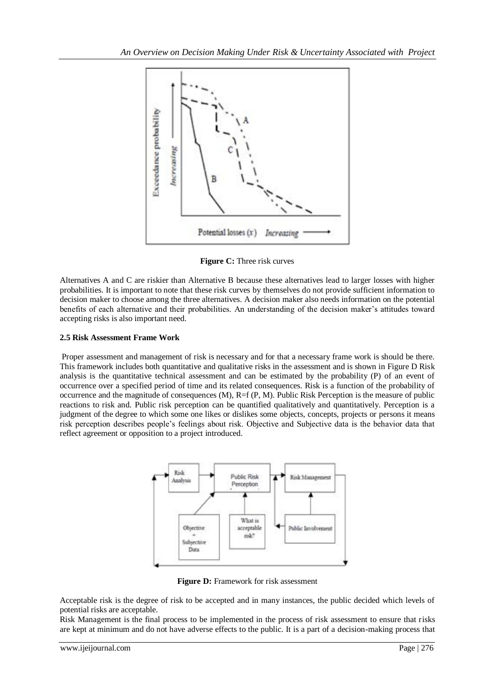

**Figure C:** Three risk curves

Alternatives A and C are riskier than Alternative B because these alternatives lead to larger losses with higher probabilities. It is important to note that these risk curves by themselves do not provide sufficient information to decision maker to choose among the three alternatives. A decision maker also needs information on the potential benefits of each alternative and their probabilities. An understanding of the decision maker's attitudes toward accepting risks is also important need.

## **2.5 Risk Assessment Frame Work**

Proper assessment and management of risk is necessary and for that a necessary frame work is should be there. This framework includes both quantitative and qualitative risks in the assessment and is shown in Figure D Risk analysis is the quantitative technical assessment and can be estimated by the probability (P) of an event of occurrence over a specified period of time and its related consequences. Risk is a function of the probability of occurrence and the magnitude of consequences (M), R=f (P, M). Public Risk Perception is the measure of public reactions to risk and. Public risk perception can be quantified qualitatively and quantitatively. Perception is a judgment of the degree to which some one likes or dislikes some objects, concepts, projects or persons it means risk perception describes people's feelings about risk. Objective and Subjective data is the behavior data that reflect agreement or opposition to a project introduced.



**Figure D:** Framework for risk assessment

Acceptable risk is the degree of risk to be accepted and in many instances, the public decided which levels of potential risks are acceptable.

Risk Management is the final process to be implemented in the process of risk assessment to ensure that risks are kept at minimum and do not have adverse effects to the public. It is a part of a decision-making process that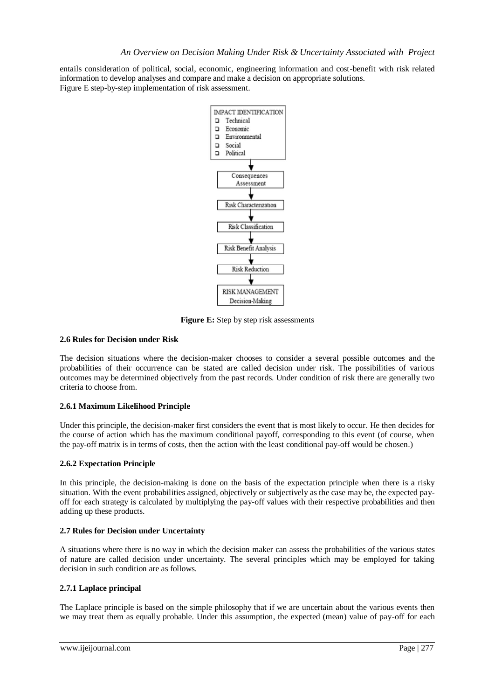entails consideration of political, social, economic, engineering information and cost-benefit with risk related information to develop analyses and compare and make a decision on appropriate solutions. Figure E step-by-step implementation of risk assessment.



**Figure E:** Step by step risk assessments

## **2.6 Rules for Decision under Risk**

The decision situations where the decision-maker chooses to consider a several possible outcomes and the probabilities of their occurrence can be stated are called decision under risk. The possibilities of various outcomes may be determined objectively from the past records. Under condition of risk there are generally two criteria to choose from.

## **2.6.1 Maximum Likelihood Principle**

Under this principle, the decision-maker first considers the event that is most likely to occur. He then decides for the course of action which has the maximum conditional payoff, corresponding to this event (of course, when the pay-off matrix is in terms of costs, then the action with the least conditional pay-off would be chosen.)

## **2.6.2 Expectation Principle**

In this principle, the decision-making is done on the basis of the expectation principle when there is a risky situation. With the event probabilities assigned, objectively or subjectively as the case may be, the expected payoff for each strategy is calculated by multiplying the pay-off values with their respective probabilities and then adding up these products.

## **2.7 Rules for Decision under Uncertainty**

A situations where there is no way in which the decision maker can assess the probabilities of the various states of nature are called decision under uncertainty. The several principles which may be employed for taking decision in such condition are as follows.

## **2.7.1 Laplace principal**

The Laplace principle is based on the simple philosophy that if we are uncertain about the various events then we may treat them as equally probable. Under this assumption, the expected (mean) value of pay-off for each